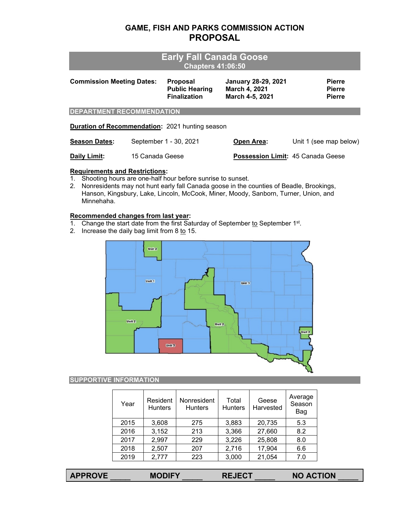## **GAME, FISH AND PARKS COMMISSION ACTION PROPOSAL**

# **Early Fall Canada Goose Chapters 41:06:50**

| <b>Commission Meeting Dates:</b>                       |                 | <b>Proposal</b><br><b>Public Hearing</b><br><b>Finalization</b> | <b>January 28-29, 2021</b><br>March 4, 2021<br>March 4-5, 2021 | <b>Pierre</b><br><b>Pierre</b><br><b>Pierre</b> |
|--------------------------------------------------------|-----------------|-----------------------------------------------------------------|----------------------------------------------------------------|-------------------------------------------------|
| <b>DEPARTMENT RECOMMENDATION</b>                       |                 |                                                                 |                                                                |                                                 |
| <b>Duration of Recommendation: 2021 hunting season</b> |                 |                                                                 |                                                                |                                                 |
| <b>Season Dates:</b>                                   |                 | September 1 - 30, 2021                                          | Open Area:                                                     | Unit 1 (see map below)                          |
| Daily Limit:                                           | 15 Canada Geese |                                                                 | <b>Possession Limit: 45 Canada Geese</b>                       |                                                 |

### **Requirements and Restrictions:**

- 1. Shooting hours are one-half hour before sunrise to sunset.
- 2. Nonresidents may not hunt early fall Canada goose in the counties of Beadle, Brookings, Hanson, Kingsbury, Lake, Lincoln, McCook, Miner, Moody, Sanborn, Turner, Union, and Minnehaha.

#### **Recommended changes from last year:**

- 1. Change the start date from the first Saturday of September to September 1st.
- 2. Increase the daily bag limit from  $8 \text{ to } 15$ .



### **SUPPORTIVE INFORMATION**

| Year | Resident<br><b>Hunters</b> | Nonresident<br><b>Hunters</b> | Total<br><b>Hunters</b> | Geese<br>Harvested | Average<br>Season<br>Bag |
|------|----------------------------|-------------------------------|-------------------------|--------------------|--------------------------|
| 2015 | 3,608                      | 275                           | 3,883                   | 20,735             | 5.3                      |
| 2016 | 3,152                      | 213                           | 3,366                   | 27,660             | 8.2                      |
| 2017 | 2,997                      | 229                           | 3,226                   | 25,808             | 8.0                      |
| 2018 | 2,507                      | 207                           | 2,716                   | 17,904             | 6.6                      |
| 2019 | 2,777                      | 223                           | 3,000                   | 21,054             | 7.0                      |

| <b>APPROVE</b> | <b>MODIFY</b> | <b>REJECT</b> | <b>NO ACTION</b> |
|----------------|---------------|---------------|------------------|
|                |               |               |                  |